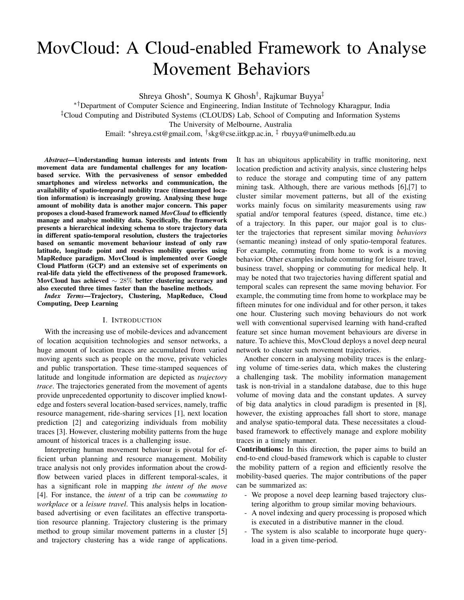# MovCloud: A Cloud-enabled Framework to Analyse Movement Behaviors

Shreya Ghosh<sup>∗</sup> , Soumya K Ghosh† , Rajkumar Buyya‡

∗†Department of Computer Science and Engineering, Indian Institute of Technology Kharagpur, India ‡Cloud Computing and Distributed Systems (CLOUDS) Lab, School of Computing and Information Systems

The University of Melbourne, Australia

Email: <sup>∗</sup> shreya.cst@gmail.com, † skg@cse.iitkgp.ac.in, ‡ rbuyya@unimelb.edu.au

*Abstract*—Understanding human interests and intents from movement data are fundamental challenges for any locationbased service. With the pervasiveness of sensor embedded smartphones and wireless networks and communication, the availability of spatio-temporal mobility trace (timestamped location information) is increasingly growing. Analysing these huge amount of mobility data is another major concern. This paper proposes a cloud-based framework named *MovCloud* to efficiently manage and analyse mobility data. Specifically, the framework presents a hierarchical indexing schema to store trajectory data in different spatio-temporal resolution, clusters the trajectories based on semantic movement behaviour instead of only raw latitude, longitude point and resolves mobility queries using MapReduce paradigm. MovCloud is implemented over Google Cloud Platform (GCP) and an extensive set of experiments on real-life data yield the effectiveness of the proposed framework. MovCloud has achieved  $\sim$  28% better clustering accuracy and also executed three times faster than the baseline methods.

*Index Terms*—Trajectory, Clustering, MapReduce, Cloud Computing, Deep Learning

#### I. INTRODUCTION

With the increasing use of mobile-devices and advancement of location acquisition technologies and sensor networks, a huge amount of location traces are accumulated from varied moving agents such as people on the move, private vehicles and public transportation. These time-stamped sequences of latitude and longitude information are depicted as *trajectory trace*. The trajectories generated from the movement of agents provide unprecedented opportunity to discover implied knowledge and fosters several location-based services, namely, traffic resource management, ride-sharing services [1], next location prediction [2] and categorizing individuals from mobility traces [3]. However, clustering mobility patterns from the huge amount of historical traces is a challenging issue.

Interpreting human movement behaviour is pivotal for efficient urban planning and resource management. Mobility trace analysis not only provides information about the crowdflow between varied places in different temporal-scales, it has a significant role in mapping *the intent of the move* [4]. For instance, the *intent* of a trip can be *commuting to workplace* or a *leisure travel*. This analysis helps in locationbased advertising or even facilitates an effective transportation resource planning. Trajectory clustering is the primary method to group similar movement patterns in a cluster [5] and trajectory clustering has a wide range of applications. It has an ubiquitous applicability in traffic monitoring, next location prediction and activity analysis, since clustering helps to reduce the storage and computing time of any pattern mining task. Although, there are various methods [6],[7] to cluster similar movement patterns, but all of the existing works mainly focus on similarity measurements using raw spatial and/or temporal features (speed, distance, time etc.) of a trajectory. In this paper, our major goal is to cluster the trajectories that represent similar moving *behaviors* (semantic meaning) instead of only spatio-temporal features. For example, commuting from home to work is a moving behavior. Other examples include commuting for leisure travel, business travel, shopping or commuting for medical help. It may be noted that two trajectories having different spatial and temporal scales can represent the same moving behavior. For example, the commuting time from home to workplace may be fifteen minutes for one individual and for other person, it takes one hour. Clustering such moving behaviours do not work well with conventional supervised learning with hand-crafted feature set since human movement behaviours are diverse in nature. To achieve this, MovCloud deploys a novel deep neural network to cluster such movement trajectories.

Another concern in analysing mobility traces is the enlarging volume of time-series data, which makes the clustering a challenging task. The mobility information management task is non-trivial in a standalone database, due to this huge volume of moving data and the constant updates. A survey of big data analytics in cloud paradigm is presented in [8], however, the existing approaches fall short to store, manage and analyse spatio-temporal data. These necessitates a cloudbased framework to effectively manage and explore mobility traces in a timely manner.

Contributions: In this direction, the paper aims to build an end-to-end cloud-based framework which is capable to cluster the mobility pattern of a region and efficiently resolve the mobility-based queries. The major contributions of the paper can be summarized as:

- We propose a novel deep learning based trajectory clustering algorithm to group similar moving behaviours.
- A novel indexing and query processing is proposed which is executed in a distributive manner in the cloud.
- The system is also scalable to incorporate huge queryload in a given time-period.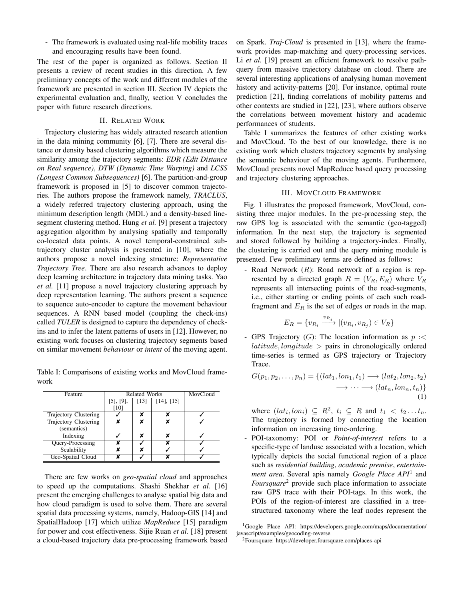- The framework is evaluated using real-life mobility traces and encouraging results have been found.

The rest of the paper is organized as follows. Section II presents a review of recent studies in this direction. A few preliminary concepts of the work and different modules of the framework are presented in section III. Section IV depicts the experimental evaluation and, finally, section V concludes the paper with future research directions.

## II. RELATED WORK

Trajectory clustering has widely attracted research attention in the data mining community [6], [7]. There are several distance or density based clustering algorithms which measure the similarity among the trajectory segments: *EDR (Edit Distance on Real sequence)*, *DTW (Dynamic Time Warping)* and *LCSS (Longest Common Subsequences)* [6]. The partition-and-group framework is proposed in [5] to discover common trajectories. The authors propose the framework namely, *TRACLUS*, a widely referred trajectory clustering approach, using the minimum description length (MDL) and a density-based linesegment clustering method. Hung *et al.* [9] present a trajectory aggregation algorithm by analysing spatially and temporally co-located data points. A novel temporal-constrained subtrajectory cluster analysis is presented in [10], where the authors propose a novel indexing structure: *Representative Trajectory Tree*. There are also research advances to deploy deep learning architecture in trajectory data mining tasks. Yao *et al.* [11] propose a novel trajectory clustering approach by deep representation learning. The authors present a sequence to sequence auto-encoder to capture the movement behaviour sequences. A RNN based model (coupling the check-ins) called *TULER* is designed to capture the dependency of checkins and to infer the latent patterns of users in [12]. However, no existing work focuses on clustering trajectory segments based on similar movement *behaviour* or *intent* of the moving agent.

Table I: Comparisons of existing works and MovCloud framework

| Feature               | <b>Related Works</b> | MovCloud           |                 |  |
|-----------------------|----------------------|--------------------|-----------------|--|
|                       | $[5]$ , $[9]$ ,      | $\lceil 13 \rceil$ | $[14]$ , $[15]$ |  |
|                       | [10]                 |                    |                 |  |
| Trajectory Clustering |                      |                    |                 |  |
| Trajectory Clustering |                      |                    |                 |  |
| (semantics)           |                      |                    |                 |  |
| Indexing              |                      |                    |                 |  |
| Query-Processing      |                      |                    |                 |  |
| Scalability           |                      |                    |                 |  |
| Geo-Spatial Cloud     | v                    |                    |                 |  |

There are few works on *geo-spatial cloud* and approaches to speed up the computations. Shashi Shekhar *et al.* [16] present the emerging challenges to analyse spatial big data and how cloud paradigm is used to solve them. There are several spatial data processing systems, namely, Hadoop-GIS [14] and SpatialHadoop [17] which utilize *MapReduce* [15] paradigm for power and cost effectiveness. Sijie Ruan *et al.* [18] present a cloud-based trajectory data pre-processing framework based on Spark. *Traj-Cloud* is presented in [13], where the framework provides map-matching and query-processing services. Li *et al.* [19] present an efficient framework to resolve pathquery from massive trajectory database on cloud. There are several interesting applications of analysing human movement history and activity-patterns [20]. For instance, optimal route prediction [21], finding correlations of mobility patterns and other contexts are studied in [22], [23], where authors observe the correlations between movement history and academic performances of students.

Table I summarizes the features of other existing works and MovCloud. To the best of our knowledge, there is no existing work which clusters trajectory segments by analysing the semantic behaviour of the moving agents. Furthermore, MovCloud presents novel MapReduce based query processing and trajectory clustering approaches.

## III. MOVCLOUD FRAMEWORK

Fig. 1 illustrates the proposed framework, MovCloud, consisting three major modules. In the pre-processing step, the raw GPS log is associated with the semantic (geo-tagged) information. In the next step, the trajectory is segmented and stored followed by building a trajectory-index. Finally, the clustering is carried out and the query mining module is presented. Few preliminary terms are defined as follows:

Road Network  $(R)$ : Road network of a region is represented by a directed graph  $R = (V_R, E_R)$  where  $V_R$ represents all intersecting points of the road-segments, i.e., either starting or ending points of each such roadfragment and  $E_R$  is the set of edges or roads in the map.

$$
E_R = \{v_{R_i} \xrightarrow{v_{R_j}} | (v_{R_i}, v_{R_j}) \in V_R\}
$$

- GPS Trajectory  $(G)$ : The location information as  $p \leq$  $lattice, longitude$  > pairs in chronologically ordered time-series is termed as GPS trajectory or Trajectory Trace.

$$
G(p_1, p_2, \dots, p_n) = \{ (lat_1, lon_1, t_1) \longrightarrow (lat_2, lon_2, t_2) \rightarrow \dots \longrightarrow (lat_n, lon_n, t_n) \}
$$
\n
$$
\longrightarrow \dots \longrightarrow (lat_n, lon_n, t_n) \}
$$
\n
$$
(1)
$$

where  $(lat_i,lon_i) \subseteq R^2$ ,  $t_i \subseteq R$  and  $t_1 < t_2...t_n$ . The trajectory is formed by connecting the location information on increasing time-ordering.

- POI-taxonomy: POI or *Point-of-interest* refers to a specific-type of landuse associated with a location, which typically depicts the social functional region of a place such as *residential building*, *academic premise*, *entertainment area*. Several apis namely *Google Place API*<sup>1</sup> and *Foursquare*<sup>2</sup> provide such place information to associate raw GPS trace with their POI-tags. In this work, the POIs of the region-of-interest are classified in a treestructured taxonomy where the leaf nodes represent the

<sup>&</sup>lt;sup>1</sup>Google Place API: https://developers.google.com/maps/documentation/ javascript/examples/geocoding-reverse

<sup>2</sup>Foursquare: https://developer.foursquare.com/places-api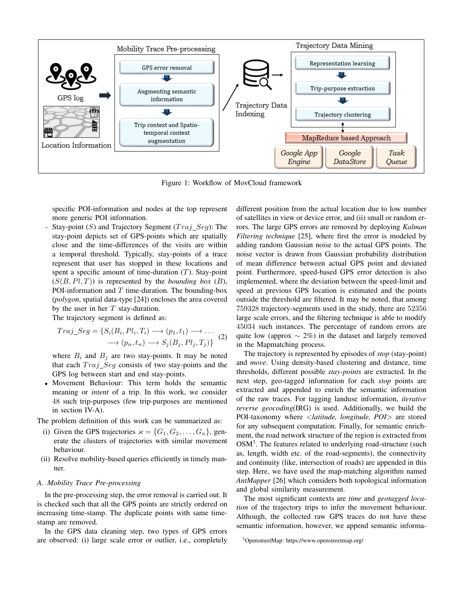

Figure 1: Workflow of MovCloud framework

specific POI-information and nodes at the top represent more generic POI information.

Stay-point  $(S)$  and Trajectory Segment  $(Traj\_Seg)$ : The stay-point depicts set of GPS-points which are spatially close and the time-differences of the visits are within a temporal threshold. Typically, stay-points of a trace represent that user has stopped in these locations and spent a specific amount of time-duration  $(T)$ . Stay-point  $(S(B, Pl, T))$  is represented by the *bounding box*  $(B)$ , POI-information and  $T$  time-duration. The bounding-box (*polygon*, spatial data-type [24]) encloses the area covered by the user in her  $T$  stay-duration.

The trajectory segment is defined as:

$$
Traj\_Seg = \{S_i(B_i, Pl_i, T_i) \longrightarrow (p_1, t_1) \longrightarrow \dots \newline \longrightarrow (p_n, t_n) \longrightarrow S_j(B_j, Pl_j, T_j)\}
$$
 (2)

where  $B_i$  and  $B_j$  are two stay-points. It may be noted that each  $Traj\_Seg$  consists of two stay-points and the GPS log between start and end stay-points.

• Movement Behaviour: This term holds the semantic meaning or *intent* of a trip. In this work, we consider 48 such trip-purposes (few trip-purposes are mentioned in section IV-A).

The problem definition of this work can be summarized as:

- (i) Given the GPS trajectories  $\varkappa = \{G_1, G_2, \ldots, G_n\}$ , generate the clusters of trajectories with similar movement behaviour.
- (ii) Resolve mobility-based queries efficiently in timely manner.

#### *A. Mobility Trace Pre-processing*

In the pre-processing step, the error removal is carried out. It is checked such that all the GPS points are strictly ordered on increasing time-stamp. The duplicate points with same timestamp are removed.

In the GPS data cleaning step, two types of GPS errors are observed: (i) large scale error or outlier, i.e., completely different position from the actual location due to low number of satellites in view or device error, and (ii) small or random errors. The large GPS errors are removed by deploying *Kalman Filtering technique* [25], where first the error is modeled by adding random Gaussian noise to the actual GPS points. The noise vector is drawn from Gaussian probability distribution of mean difference between actual GPS point and deviated point. Furthermore, speed-based GPS error detection is also implemented, where the deviation between the speed-limit and speed at previous GPS location is estimated and the points outside the threshold are filtered. It may be noted, that among 759328 trajectory-segments used in the study, there are 52356 large scale errors, and the filtering technique is able to modify 45034 such instances. The percentage of random errors are quite low (approx  $\sim$  2%) in the dataset and largely removed in the Mapmatching process.

The trajectory is represented by episodes of *stop* (stay-point) and *move*. Using density-based clustering and distance, time thresholds, different possible *stay-points* are extracted. In the next step, geo-tagged information for each *stop* points are extracted and appended to enrich the semantic information of the raw traces. For tagging landuse information, *iterative reverse geocoding*(IRG) is used. Additionally, we build the POI-taxonomy where <*latitude, longitude, POI*> are stored for any subsequent computation. Finally, for semantic enrichment, the road network structure of the region is extracted from OSM<sup>3</sup>. The features related to underlying road-structure (such as, length, width etc. of the road-segments), the connectivity and continuity (like, intersection of roads) are appended in this step. Here, we have used the map-matching algorithm named *AntMapper* [26] which considers both topological information and global similarity measurement.

The most significant contexts are *time* and *geotagged location* of the trajectory trips to infer the movement behaviour. Although, the collected raw GPS traces do not have these semantic information, however, we append semantic informa-

<sup>3</sup>OpenstreetMap: https://www.openstreetmap.org/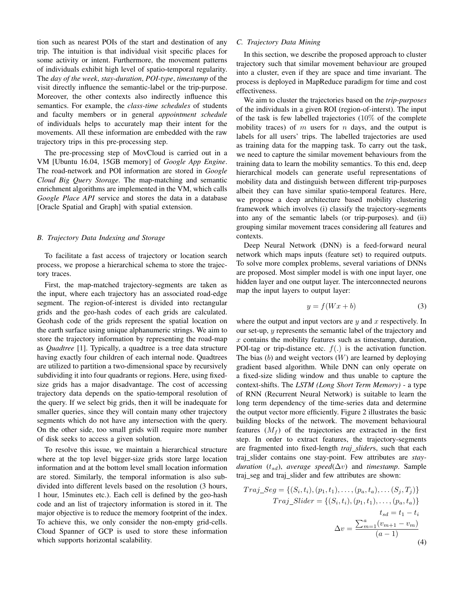tion such as nearest POIs of the start and destination of any trip. The intuition is that individual visit specific places for some activity or intent. Furthermore, the movement patterns of individuals exhibit high level of spatio-temporal regularity. The *day of the week*, *stay-duration*, *POI-type*, *timestamp* of the visit directly influence the semantic-label or the trip-purpose. Moreover, the other contexts also indirectly influence this semantics. For example, the *class-time schedules* of students and faculty members or in general *appointment schedule* of individuals helps to accurately map their intent for the movements. All these information are embedded with the raw trajectory trips in this pre-processing step.

The pre-processing step of MovCloud is carried out in a VM [Ubuntu 16.04, 15GB memory] of *Google App Engine*. The road-network and POI information are stored in *Google Cloud Big Query Storage*. The map-matching and semantic enrichment algorithms are implemented in the VM, which calls *Google Place API* service and stores the data in a database [Oracle Spatial and Graph] with spatial extension.

#### *B. Trajectory Data Indexing and Storage*

To facilitate a fast access of trajectory or location search process, we propose a hierarchical schema to store the trajectory traces.

First, the map-matched trajectory-segments are taken as the input, where each trajectory has an associated road-edge segment. The region-of-interest is divided into rectangular grids and the geo-hash codes of each grids are calculated. Geohash code of the grids represent the spatial location on the earth surface using unique alphanumeric strings. We aim to store the trajectory information by representing the road-map as *Quadtree* [1]. Typically, a quadtree is a tree data structure having exactly four children of each internal node. Quadtrees are utilized to partition a two-dimensional space by recursively subdividing it into four quadrants or regions. Here, using fixedsize grids has a major disadvantage. The cost of accessing trajectory data depends on the spatio-temporal resolution of the query. If we select big grids, then it will be inadequate for smaller queries, since they will contain many other trajectory segments which do not have any intersection with the query. On the other side, too small grids will require more number of disk seeks to access a given solution.

To resolve this issue, we maintain a hierarchical structure where at the top level bigger-size grids store large location information and at the bottom level small location information are stored. Similarly, the temporal information is also subdivided into different levels based on the resolution (3 hours, 1 hour, 15minutes etc.). Each cell is defined by the geo-hash code and an list of trajectory information is stored in it. The major objective is to reduce the memory footprint of the index. To achieve this, we only consider the non-empty grid-cells. Cloud Spanner of GCP is used to store these information which supports horizontal scalability.

## *C. Trajectory Data Mining*

In this section, we describe the proposed approach to cluster trajectory such that similar movement behaviour are grouped into a cluster, even if they are space and time invariant. The process is deployed in MapReduce paradigm for time and cost effectiveness.

We aim to cluster the trajectories based on the *trip-purposes* of the individuals in a given ROI (region-of-interst). The input of the task is few labelled trajectories (10% of the complete mobility traces) of  $m$  users for  $n$  days, and the output is labels for all users' trips. The labelled trajectories are used as training data for the mapping task. To carry out the task, we need to capture the similar movement behaviours from the training data to learn the mobility semantics. To this end, deep hierarchical models can generate useful representations of mobility data and distinguish between different trip-purposes albeit they can have similar spatio-temporal features. Here, we propose a deep architecture based mobility clustering framework which involves (i) classify the trajectory-segments into any of the semantic labels (or trip-purposes). and (ii) grouping similar movement traces considering all features and contexts.

Deep Neural Network (DNN) is a feed-forward neural network which maps inputs (feature set) to required outputs. To solve more complex problems, several variations of DNNs are proposed. Most simpler model is with one input layer, one hidden layer and one output layer. The interconnected neurons map the input layers to output layer:

$$
y = f(Wx + b) \tag{3}
$$

where the output and input vectors are  $y$  and  $x$  respectively. In our set-up, y represents the semantic label of the trajectory and  $x$  contains the mobility features such as timestamp, duration, POI-tag or trip-distance etc.  $f(.)$  is the activation function. The bias  $(b)$  and weight vectors  $(W)$  are learned by deploying gradient based algorithm. While DNN can only operate on a fixed-size sliding window and thus unable to capture the context-shifts. The *LSTM (Long Short Term Memory)* - a type of RNN (Recurrent Neural Network) is suitable to learn the long term dependency of the time-series data and determine the output vector more efficiently. Figure 2 illustrates the basic building blocks of the network. The movement behavioural features  $(M_f)$  of the trajectories are extracted in the first step. In order to extract features, the trajectory-segments are fragmented into fixed-length *traj slider*s, such that each traj slider contains one stay-point. Few attributes are *stayduration* ( $t_{sd}$ ), *average speed*( $\Delta v$ ) and *timestamp*. Sample traj seg and traj slider and few attributes are shown:

$$
Traj\_Seg = \{(S_i, t_i), (p_1, t_1), \dots, (p_a, t_a), \dots (S_j, T_j)\}
$$

$$
Traj\_Slider = \{(S_i, t_i), (p_1, t_1), \dots, (p_a, t_a)\}
$$

$$
t_{sd} = t_1 - t_i
$$

$$
\Delta v = \frac{\sum_{m=1}^{a} (v_{m+1} - v_m)}{(a-1)}
$$
(4)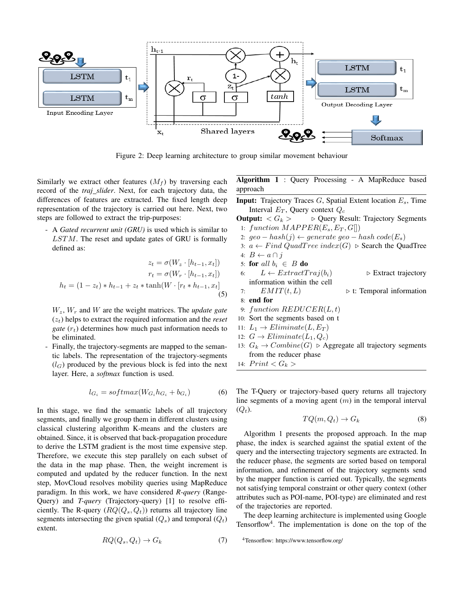

Figure 2: Deep learning architecture to group similar movement behaviour

Similarly we extract other features  $(M_f)$  by traversing each record of the *traj slider*. Next, for each trajectory data, the differences of features are extracted. The fixed length deep representation of the trajectory is carried out here. Next, two steps are followed to extract the trip-purposes:

- A *Gated recurrent unit (GRU)* is used which is similar to  $LSTM$ . The reset and update gates of GRU is formally defined as:

$$
z_t = \sigma(W_z \cdot [h_{t-1}, x_t])
$$

$$
r_t = \sigma(W_r \cdot [h_{t-1}, x_t])
$$

$$
h_t = (1 - z_t) * h_{t-1} + z_t * \tanh(W \cdot [r_t * h_{t-1}, x_t])
$$
(5)

 $W_z$ ,  $W_r$  and  $W$  are the weight matrices. The *update gate*  $(z<sub>t</sub>)$  helps to extract the required information and the *reset gate*  $(r_t)$  determines how much past information needs to be eliminated.

- Finally, the trajectory-segments are mapped to the semantic labels. The representation of the trajectory-segments  $(l_G)$  produced by the previous block is fed into the next layer. Here, a *softmax* function is used.

$$
l_{G_i} = softmax(W_{G_i} h_{G_i} + b_{G_i})
$$
 (6)

In this stage, we find the semantic labels of all trajectory segments, and finally we group them in different clusters using classical clustering algorithm K-means and the clusters are obtained. Since, it is observed that back-propagation procedure to derive the LSTM gradient is the most time expensive step. Therefore, we execute this step parallely on each subset of the data in the map phase. Then, the weight increment is computed and updated by the reducer function. In the next step, MovCloud resolves mobility queries using MapReduce paradigm. In this work, we have considered *R-query* (Range-Query) and *T-query* (Trajectory-query) [1] to resolve efficiently. The R-query  $(RQ(Q_s, Q_t))$  returns all trajectory line segments intersecting the given spatial  $(Q_s)$  and temporal  $(Q_t)$ extent.

$$
RQ(Q_s, Q_t) \to G_k \tag{7}
$$

Algorithm 1 : Query Processing - A MapReduce based approach

**Input:** Trajectory Traces  $G$ , Spatial Extent location  $E_s$ , Time Interval  $E_T$ , Query context  $Q_c$ 

**Output:**  $\langle G_k \rangle$   $\triangleright$  Query Result: Trajectory Segments 1: function  $MAPPER(E_s, E_T, G[])$ 

- 2: geo hash(j) ← generate geo hash code( $E_s$ )
- 3:  $a \leftarrow Find Quadrree index(G) > Search the Quadrree$

4: 
$$
B \leftarrow a \cap j
$$

5: for all 
$$
b_i \in B
$$
 do

- 6:  $L \leftarrow ExtractTraj(b_i)$   $\triangleright$  Extract trajectory information within the cell
- 7:  $EMIT(t, L)$   $\triangleright$  t: Temporal information 8: end for
- 9: function  $REDUCER(L, t)$
- 10: Sort the segments based on t
- 11:  $L_1 \rightarrow Eliminate(L, E_T)$
- 12:  $G \rightarrow Eliminate(L_1, Q_c)$
- 13:  $G_k \to Combine(G)$   $\triangleright$  Aggregate all trajectory segments from the reducer phase
- 14:  $Print < G_k$

The T-Query or trajectory-based query returns all trajectory line segments of a moving agent  $(m)$  in the temporal interval  $(Q_t)$ .

$$
TQ(m, Q_t) \to G_k \tag{8}
$$

Algorithm 1 presents the proposed approach. In the map phase, the index is searched against the spatial extent of the query and the intersecting trajectory segments are extracted. In the reducer phase, the segments are sorted based on temporal information, and refinement of the trajectory segments send by the mapper function is carried out. Typically, the segments not satisfying temporal constraint or other query context (other attributes such as POI-name, POI-type) are eliminated and rest of the trajectories are reported.

The deep learning architecture is implemented using Google Tensorflow<sup>4</sup>. The implementation is done on the top of the

<sup>4</sup>Tensorflow: https://www.tensorflow.org/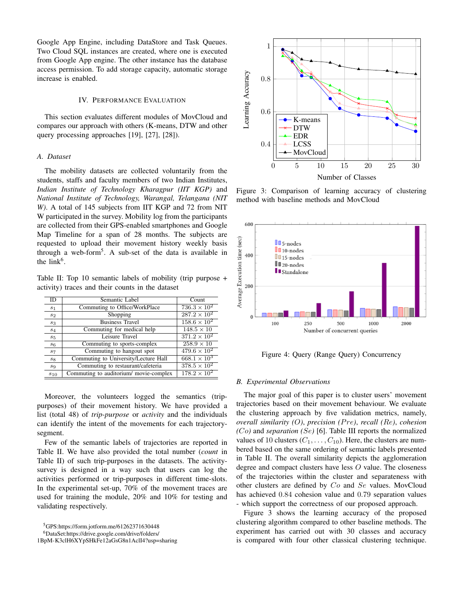Google App Engine, including DataStore and Task Queues. Two Cloud SQL instances are created, where one is executed from Google App engine. The other instance has the database access permission. To add storage capacity, automatic storage increase is enabled.

#### IV. PERFORMANCE EVALUATION

This section evaluates different modules of MovCloud and compares our approach with others (K-means, DTW and other query processing approaches [19], [27], [28]).

## *A. Dataset*

The mobility datasets are collected voluntarily from the students, staffs and faculty members of two Indian Institutes, *Indian Institute of Technology Kharagpur (IIT KGP)* and *National Institute of Technology, Warangal, Telangana (NIT W)*. A total of 145 subjects from IIT KGP and 72 from NIT W participated in the survey. Mobility log from the participants are collected from their GPS-enabled smartphones and Google Map Timeline for a span of 28 months. The subjects are requested to upload their movement history weekly basis through a web-form<sup>5</sup>. A sub-set of the data is available in the  $link<sup>6</sup>$ .

Table II: Top 10 semantic labels of mobility (trip purpose + activity) traces and their counts in the dataset

| ID             | Semantic Label                         | Count                 |
|----------------|----------------------------------------|-----------------------|
| s <sub>1</sub> | Commuting to Office/WorkPlace          | $736.3 \times 10^{2}$ |
| s <sub>2</sub> | Shopping                               | $287.2 \times 10^{2}$ |
| $s_3$          | <b>Business Travel</b>                 | $158.6 \times 10^{2}$ |
| $s_4$          | Commuting for medical help             | $148.5 \times 10$     |
| $s_5$          | Leisure Travel                         | $371.2 \times 10^{2}$ |
| $s_6$          | Commuting to sports-complex            | $258.9 \times 10$     |
| $s_7$          | Commuting to hangout spot              | $479.6 \times 10^{2}$ |
| $s_8$          | Commuting to University/Lecture Hall   | $668.1 \times 10^{3}$ |
| s <sub>9</sub> | Commuting to restaurant/cafeteria      | $378.5 \times 10^{2}$ |
| $s_{10}$       | Commuting to auditorium/ movie-complex | $178.2 \times 10^{2}$ |

Moreover, the volunteers logged the semantics (trippurposes) of their movement history. We have provided a list (total 48) of *trip-purpose* or *activity* and the individuals can identify the intent of the movements for each trajectorysegment.

Few of the semantic labels of trajectories are reported in Table II. We have also provided the total number (*count* in Table II) of such trip-purposes in the datasets. The activitysurvey is designed in a way such that users can log the activities performed or trip-purposes in different time-slots. In the experimental set-up, 70% of the movement traces are used for training the module, 20% and 10% for testing and validating respectively.

<sup>5</sup>GPS:https://form.jotform.me/61262371630448

<sup>6</sup>DataSet:https://drive.google.com/drive/folders/

1BpM-K3clH6XYpSHkFe12aGsG8n1AclI4?usp=sharing



Figure 3: Comparison of learning accuracy of clustering method with baseline methods and MovCloud



Figure 4: Query (Range Query) Concurrency

#### *B. Experimental Observations*

The major goal of this paper is to cluster users' movement trajectories based on their movement behaviour. We evaluate the clustering approach by five validation metrics, namely, *overall similarity (*O*)*, *precision (*P re*)*, *recall (*Re*)*, *cohesion (*Co*)* and *separation (*Se*)* [6]. Table III reports the normalized values of 10 clusters  $(C_1, \ldots, C_{10})$ . Here, the clusters are numbered based on the same ordering of semantic labels presented in Table II. The overall similarity depicts the agglomeration degree and compact clusters have less O value. The closeness of the trajectories within the cluster and separateness with other clusters are defined by Co and Se values. MovCloud has achieved 0.84 cohesion value and 0.79 separation values - which support the correctness of our proposed approach.

Figure 3 shows the learning accuracy of the proposed clustering algorithm compared to other baseline methods. The experiment has carried out with 30 classes and accuracy is compared with four other classical clustering technique.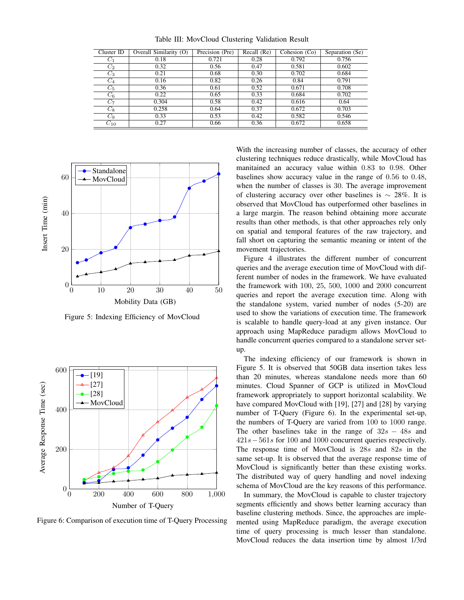| Cluster ID | Overall Similarity (O) | Precision (Pre) | Recall (Re) | Cohesion (Co) | Separation (Se) |
|------------|------------------------|-----------------|-------------|---------------|-----------------|
| $C_1$      | 0.18                   | 0.721           | 0.28        | 0.792         | 0.756           |
| $C_2$      | 0.32                   | 0.56            | 0.47        | 0.581         | 0.602           |
| $C_3$      | 0.21                   | 0.68            | 0.30        | 0.702         | 0.684           |
| $C_{4}$    | 0.16                   | 0.82            | 0.26        | 0.84          | 0.791           |
| $C_5$      | 0.36                   | 0.61            | 0.52        | 0.671         | 0.708           |
| $C_6$      | 0.22                   | 0.65            | 0.33        | 0.684         | 0.702           |
| $C_7$      | 0.304                  | 0.58            | 0.42        | 0.616         | 0.64            |
| $C_8$      | 0.258                  | 0.64            | 0.37        | 0.672         | 0.703           |
| $C_9$      | 0.33                   | 0.53            | 0.42        | 0.582         | 0.546           |
| $C_{10}$   | 0.27                   | 0.66            | 0.36        | 0.672         | 0.658           |

Table III: MovCloud Clustering Validation Result



Figure 5: Indexing Efficiency of MovCloud



Figure 6: Comparison of execution time of T-Query Processing

With the increasing number of classes, the accuracy of other clustering techniques reduce drastically, while MovCloud has manitained an accuracy value within 0.83 to 0.98. Other baselines show accuracy value in the range of 0.56 to 0.48, when the number of classes is 30. The average improvement of clustering accuracy over other baselines is  $\sim 28\%$ . It is observed that MovCloud has outperformed other baselines in a large margin. The reason behind obtaining more accurate results than other methods, is that other approaches rely only on spatial and temporal features of the raw trajectory, and fall short on capturing the semantic meaning or intent of the movement trajectories.

Figure 4 illustrates the different number of concurrent queries and the average execution time of MovCloud with different number of nodes in the framework. We have evaluated the framework with 100, 25, 500, 1000 and 2000 concurrent queries and report the average execution time. Along with the standalone system, varied number of nodes (5-20) are used to show the variations of execution time. The framework is scalable to handle query-load at any given instance. Our approach using MapReduce paradigm allows MovCloud to handle concurrent queries compared to a standalone server setup.

The indexing efficiency of our framework is shown in Figure 5. It is observed that 50GB data insertion takes less than 20 minutes, whereas standalone needs more than 60 minutes. Cloud Spanner of GCP is utilized in MovCloud framework appropriately to support horizontal scalability. We have compared MovCloud with [19], [27] and [28] by varying number of T-Query (Figure 6). In the experimental set-up, the numbers of T-Query are varied from 100 to 1000 range. The other baselines take in the range of  $32s - 48s$  and  $421s-561s$  for 100 and 1000 concurrent queries respectively. The response time of MovCloud is 28s and 82s in the same set-up. It is observed that the average response time of MovCloud is significantly better than these existing works. The distributed way of query handling and novel indexing schema of MovCloud are the key reasons of this performance.

In summary, the MovCloud is capable to cluster trajectory segments efficiently and shows better learning accuracy than baseline clustering methods. Since, the approaches are implemented using MapReduce paradigm, the average execution time of query processing is much lesser than standalone. MovCloud reduces the data insertion time by almost 1/3rd